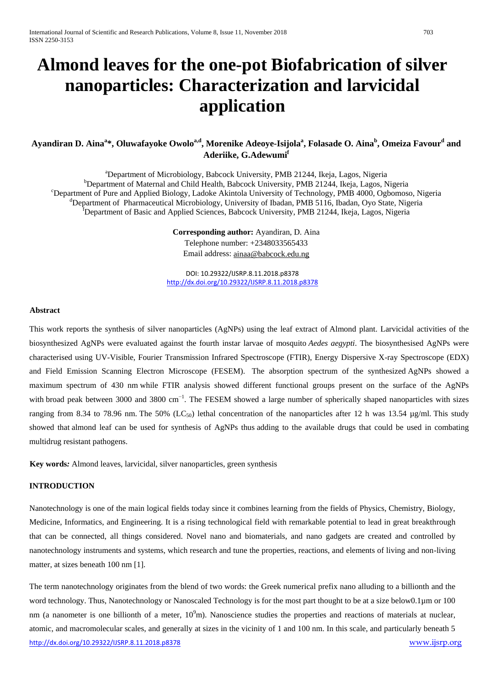# **Almond leaves for the one-pot Biofabrication of silver nanoparticles: Characterization and larvicidal application**

# $A$ yandiran D. Aina $^{a*}$ , Oluwafayoke Owolo $^{a,d}$ , Morenike Adeoye-Isijola $^{a}$ , Folasade O. Aina $^{b}$ , Omeiza Favour $^{d}$  and **Aderiike, G.Adewumi<sup>f</sup>**

<sup>a</sup> Department of Microbiology, Babcock University, PMB 21244, Ikeja, Lagos, Nigeria<br><sup>b</sup> Department of Maternal and Child Hoalth, Babcock University, PMB 21244, Ikeja, Lagos, N <sup>b</sup>Department of Maternal and Child Health, Babcock University, PMB 21244, Ikeja, Lagos, Nigeria <sup>c</sup>Department of Pure and Applied Biology, Ladoke Akintola University of Technology, PMB 4000, Ogbomoso, Nigeria <sup>d</sup>Department of Pharmaceutical Microbiology, University of Ibadan, PMB 5116, Ibadan, Oyo State, Nigeria <sup>1</sup>Department of Basic and Applied Sciences, Babcock University, PMB 21244, Ikeja, Lagos, Nigeria

> **Corresponding author:** Ayandiran, D. Aina Telephone number: +2348033565433 Email address[: ainaa@babcock.edu.ng](mailto:ainaa@babcock.edu.ng)

DOI: 10.29322/IJSRP.8.11.2018.p8378 <http://dx.doi.org/10.29322/IJSRP.8.11.2018.p8378>

#### **Abstract**

This work reports the synthesis of silver nanoparticles (AgNPs) using the leaf extract of Almond plant. Larvicidal activities of the biosynthesized AgNPs were evaluated against the fourth instar larvae of mosquito *Aedes aegypti*. The biosynthesised AgNPs were characterised using UV-Visible, Fourier Transmission Infrared Spectroscope (FTIR), Energy Dispersive X-ray Spectroscope (EDX) and Field Emission Scanning Electron Microscope (FESEM). The absorption spectrum of the synthesized AgNPs showed a maximum spectrum of 430 nm while FTIR analysis showed different functional groups present on the surface of the AgNPs with broad peak between 3000 and 3800 cm<sup>-1</sup>. The FESEM showed a large number of spherically shaped nanoparticles with sizes ranging from 8.34 to 78.96 nm. The 50% (LC<sub>50</sub>) lethal concentration of the nanoparticles after 12 h was 13.54  $\mu$ g/ml. This study showed that almond leaf can be used for synthesis of AgNPs thus adding to the available drugs that could be used in combating multidrug resistant pathogens.

**Key words***:* Almond leaves, larvicidal, silver nanoparticles, green synthesis

# **INTRODUCTION**

Nanotechnology is one of the main logical fields today since it combines learning from the fields of Physics, Chemistry, Biology, Medicine, Informatics, and Engineering. It is a rising technological field with remarkable potential to lead in great breakthrough that can be connected, all things considered. Novel nano and biomaterials, and nano gadgets are created and controlled by nanotechnology instruments and systems, which research and tune the properties, reactions, and elements of living and non-living matter, at sizes beneath 100 nm [1].

<http://dx.doi.org/10.29322/IJSRP.8.11.2018.p8378> [www.ijsrp.org](http://ijsrp.org/) The term nanotechnology originates from the blend of two words: the Greek numerical prefix nano alluding to a billionth and the word technology. Thus, Nanotechnology or Nanoscaled Technology is for the most part thought to be at a size below0.1 $\mu$ m or 100 nm (a nanometer is one billionth of a meter,  $10^9$ m). Nanoscience studies the properties and reactions of materials at nuclear, atomic, and macromolecular scales, and generally at sizes in the vicinity of 1 and 100 nm. In this scale, and particularly beneath 5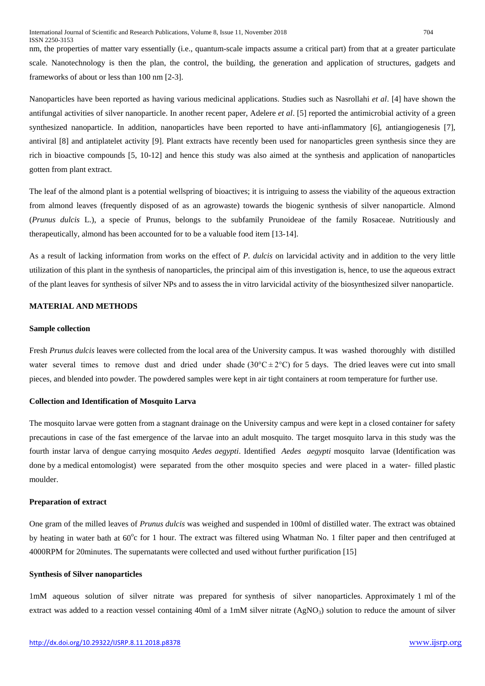nm, the properties of matter vary essentially (i.e., quantum-scale impacts assume a critical part) from that at a greater particulate scale. Nanotechnology is then the plan, the control, the building, the generation and application of structures, gadgets and frameworks of about or less than 100 nm [2-3].

Nanoparticles have been reported as having various medicinal applications. Studies such as Nasrollahi *et al*. [4] have shown the antifungal activities of silver nanoparticle. In another recent paper, Adelere *et al*. [5] reported the antimicrobial activity of a green synthesized nanoparticle. In addition, nanoparticles have been reported to have anti-inflammatory [6], antiangiogenesis [7], antiviral [8] and antiplatelet activity [9]. Plant extracts have recently been used for nanoparticles green synthesis since they are rich in bioactive compounds [5, 10-12] and hence this study was also aimed at the synthesis and application of nanoparticles gotten from plant extract.

The leaf of the almond plant is a potential wellspring of bioactives; it is intriguing to assess the viability of the aqueous extraction from almond leaves (frequently disposed of as an agrowaste) towards the biogenic synthesis of silver nanoparticle. Almond (*Prunus dulcis* L.), a specie of Prunus, belongs to the subfamily Prunoideae of the family Rosaceae. Nutritiously and therapeutically, almond has been accounted for to be a valuable food item [13-14].

As a result of lacking information from works on the effect of *P. dulcis* on larvicidal activity and in addition to the very little utilization of this plant in the synthesis of nanoparticles, the principal aim of this investigation is, hence, to use the aqueous extract of the plant leaves for synthesis of silver NPs and to assess the in vitro larvicidal activity of the biosynthesized silver nanoparticle.

## **MATERIAL AND METHODS**

#### **Sample collection**

Fresh *Prunus dulcis* leaves were collected from the local area of the University campus. It was washed thoroughly with distilled water several times to remove dust and dried under shade ( $30^{\circ}C \pm 2^{\circ}C$ ) for 5 days. The dried leaves were cut into small pieces, and blended into powder. The powdered samples were kept in air tight containers at room temperature for further use.

#### **Collection and Identification of Mosquito Larva**

The mosquito larvae were gotten from a stagnant drainage on the University campus and were kept in a closed container for safety precautions in case of the fast emergence of the larvae into an adult mosquito. The target mosquito larva in this study was the fourth instar larva of dengue carrying mosquito *Aedes aegypti*. Identified *Aedes aegypti* mosquito larvae (Identification was done by a medical entomologist) were separated from the other mosquito species and were placed in a water- filled plastic moulder.

#### **Preparation of extract**

One gram of the milled leaves of *Prunus dulcis* was weighed and suspended in 100ml of distilled water. The extract was obtained by heating in water bath at 60°c for 1 hour. The extract was filtered using Whatman No. 1 filter paper and then centrifuged at 4000RPM for 20minutes. The supernatants were collected and used without further purification [15]

## **Synthesis of Silver nanoparticles**

1mM aqueous solution of silver nitrate was prepared for synthesis of silver nanoparticles. Approximately 1 ml of the extract was added to a reaction vessel containing 40ml of a 1mM silver nitrate  $(AgNO<sub>3</sub>)$  solution to reduce the amount of silver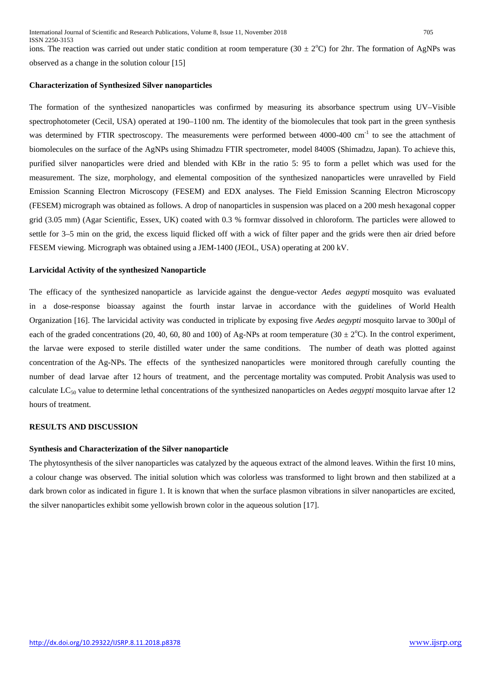ions. The reaction was carried out under static condition at room temperature  $(30 \pm 2^{\circ}C)$  for 2hr. The formation of AgNPs was observed as a change in the solution colour [15]

## **Characterization of Synthesized Silver nanoparticles**

The formation of the synthesized nanoparticles was confirmed by measuring its absorbance spectrum using UV–Visible spectrophotometer (Cecil, USA) operated at 190–1100 nm. The identity of the biomolecules that took part in the green synthesis was determined by FTIR spectroscopy. The measurements were performed between 4000-400 cm<sup>-1</sup> to see the attachment of biomolecules on the surface of the AgNPs using Shimadzu FTIR spectrometer, model 8400S (Shimadzu, Japan). To achieve this, purified silver nanoparticles were dried and blended with KBr in the ratio 5: 95 to form a pellet which was used for the measurement. The size, morphology, and elemental composition of the synthesized nanoparticles were unravelled by Field Emission Scanning Electron Microscopy (FESEM) and EDX analyses. The Field Emission Scanning Electron Microscopy (FESEM) micrograph was obtained as follows. A drop of nanoparticles in suspension was placed on a 200 mesh hexagonal copper grid (3.05 mm) (Agar Scientific, Essex, UK) coated with 0.3 % formvar dissolved in chloroform. The particles were allowed to settle for 3–5 min on the grid, the excess liquid flicked off with a wick of filter paper and the grids were then air dried before FESEM viewing. Micrograph was obtained using a JEM-1400 (JEOL, USA) operating at 200 kV.

#### **Larvicidal Activity of the synthesized Nanoparticle**

The efficacy of the synthesized nanoparticle as larvicide against the dengue-vector *Aedes aegypti* mosquito was evaluated in a dose-response bioassay against the fourth instar larvae in accordance with the guidelines of World Health Organization [16]. The larvicidal activity was conducted in triplicate by exposing five *Aedes aegypti* mosquito larvae to 300µl of each of the graded concentrations (20, 40, 60, 80 and 100) of Ag-NPs at room temperature (30  $\pm$  2°C). In the control experiment, the larvae were exposed to sterile distilled water under the same conditions. The number of death was plotted against concentration of the Ag-NPs. The effects of the synthesized nanoparticles were monitored through carefully counting the number of dead larvae after 12 hours of treatment, and the percentage mortality was computed. Probit Analysis was used to calculate LC50 value to determine lethal concentrations of the synthesized nanoparticles on Aedes *aegypti* mosquito larvae after 12 hours of treatment.

## **RESULTS AND DISCUSSION**

#### **Synthesis and Characterization of the Silver nanoparticle**

The phytosynthesis of the silver nanoparticles was catalyzed by the aqueous extract of the almond leaves. Within the first 10 mins, a colour change was observed. The initial solution which was colorless was transformed to light brown and then stabilized at a dark brown color as indicated in figure 1. It is known that when the surface plasmon vibrations in silver nanoparticles are excited, the silver nanoparticles exhibit some yellowish brown color in the aqueous solution [17].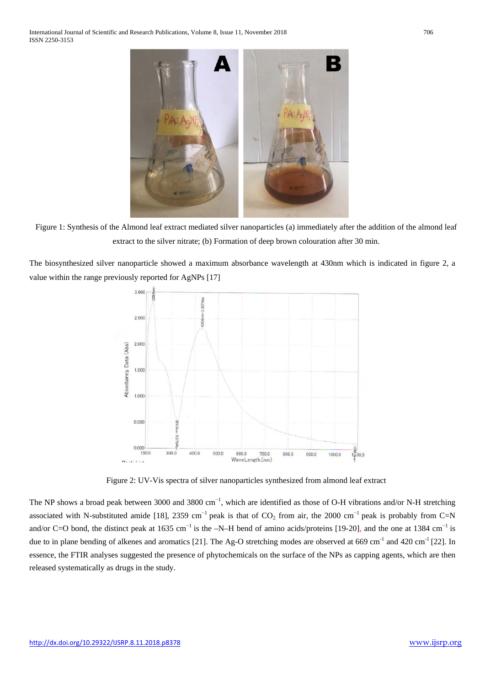

Figure 1: Synthesis of the Almond leaf extract mediated silver nanoparticles (a) immediately after the addition of the almond leaf extract to the silver nitrate; (b) Formation of deep brown colouration after 30 min.

The biosynthesized silver nanoparticle showed a maximum absorbance wavelength at 430nm which is indicated in figure 2, a value within the range previously reported for AgNPs [17]



Figure 2: UV-Vis spectra of silver nanoparticles synthesized from almond leaf extract

The NP shows a broad peak between 3000 and 3800  $cm^{-1}$ , which are identified as those of O-H vibrations and/or N-H stretching associated with N-substituted amide [18], 2359 cm<sup>-1</sup> peak is that of  $CO_2$  from air, the 2000 cm<sup>-1</sup> peak is probably from C=N and/or C=O bond, the distinct peak at 1635 cm<sup>-1</sup> is the –N–H bend of amino acids/proteins [19-20], and the one at 1384 cm<sup>-1</sup> is due to in plane bending of alkenes and aromatics [21]. The Ag-O stretching modes are observed at 669 cm<sup>-1</sup> and 420 cm<sup>-1</sup> [22]. In essence, the FTIR analyses suggested the presence of phytochemicals on the surface of the NPs as capping agents, which are then released systematically as drugs in the study.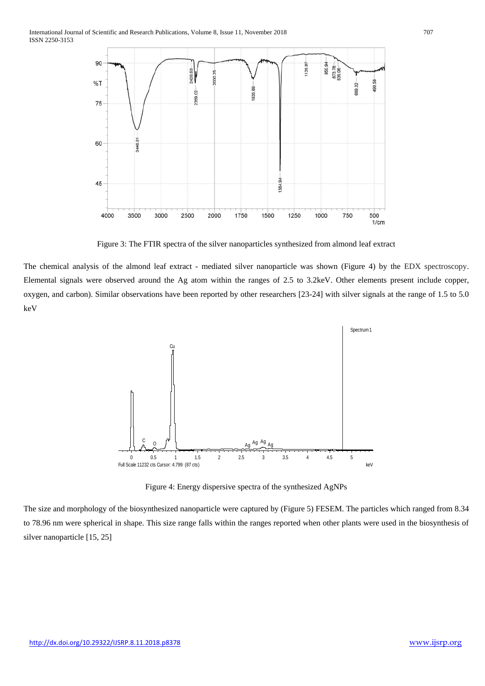

Figure 3: The FTIR spectra of the silver nanoparticles synthesized from almond leaf extract

The chemical analysis of the almond leaf extract - mediated silver nanoparticle was shown (Figure 4) by the EDX spectroscopy. Elemental signals were observed around the Ag atom within the ranges of 2.5 to 3.2keV. Other elements present include copper, oxygen, and carbon). Similar observations have been reported by other researchers [23-24] with silver signals at the range of 1.5 to 5.0 keV



Figure 4: Energy dispersive spectra of the synthesized AgNPs

The size and morphology of the biosynthesized nanoparticle were captured by (Figure 5) FESEM. The particles which ranged from 8.34 to 78.96 nm were spherical in shape. This size range falls within the ranges reported when other plants were used in the biosynthesis of silver nanoparticle [15, 25]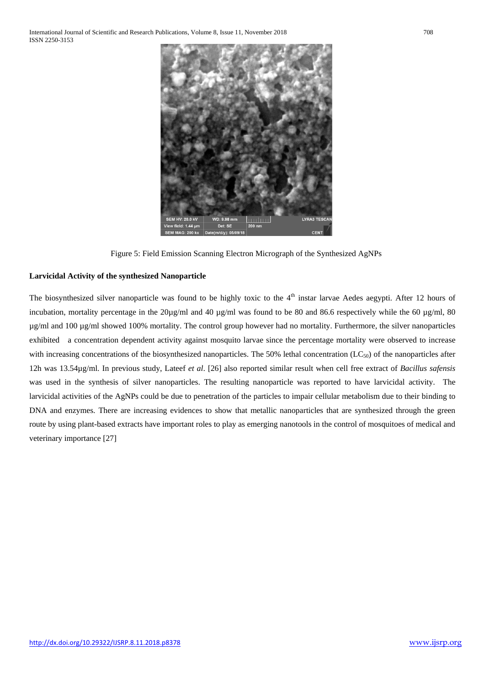

Figure 5: Field Emission Scanning Electron Micrograph of the Synthesized AgNPs

d: 1.44 L

# **Larvicidal Activity of the synthesized Nanoparticle**

The biosynthesized silver nanoparticle was found to be highly toxic to the  $4<sup>th</sup>$  instar larvae Aedes aegypti. After 12 hours of incubation, mortality percentage in the  $20\mu\text{g/ml}$  and  $40 \mu\text{g/ml}$  was found to be 80 and 86.6 respectively while the 60  $\mu\text{g/ml}$ , 80 µg/ml and 100 µg/ml showed 100% mortality. The control group however had no mortality. Furthermore, the silver nanoparticles exhibited a concentration dependent activity against mosquito larvae since the percentage mortality were observed to increase with increasing concentrations of the biosynthesized nanoparticles. The 50% lethal concentration ( $LC_{50}$ ) of the nanoparticles after 12h was 13.54µg/ml. In previous study, Lateef *et al*. [26] also reported similar result when cell free extract of *Bacillus safensis* was used in the synthesis of silver nanoparticles. The resulting nanoparticle was reported to have larvicidal activity. The larvicidal activities of the AgNPs could be due to penetration of the particles to impair cellular metabolism due to their binding to DNA and enzymes. There are increasing evidences to show that metallic nanoparticles that are synthesized through the green route by using plant-based extracts have important roles to play as emerging nanotools in the control of mosquitoes of medical and veterinary importance [27]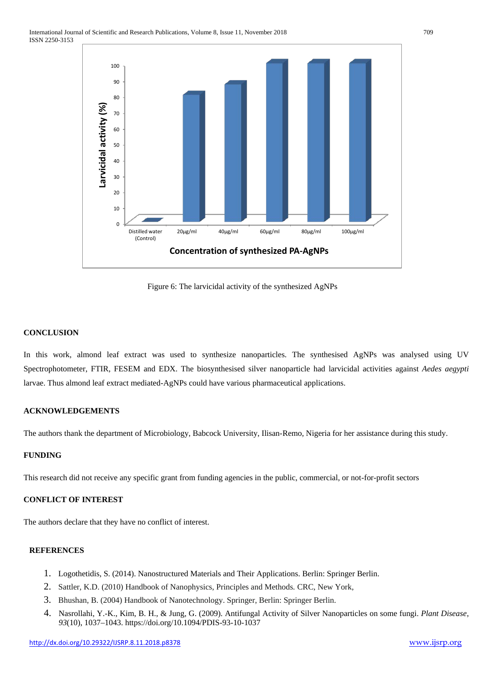

Figure 6: The larvicidal activity of the synthesized AgNPs

# **CONCLUSION**

In this work, almond leaf extract was used to synthesize nanoparticles. The synthesised AgNPs was analysed using UV Spectrophotometer, FTIR, FESEM and EDX. The biosynthesised silver nanoparticle had larvicidal activities against *Aedes aegypti* larvae. Thus almond leaf extract mediated-AgNPs could have various pharmaceutical applications.

# **ACKNOWLEDGEMENTS**

The authors thank the department of Microbiology, Babcock University, Ilisan-Remo, Nigeria for her assistance during this study.

# **FUNDING**

This research did not receive any specific grant from funding agencies in the public, commercial, or not-for-profit sectors

# **CONFLICT OF INTEREST**

The authors declare that they have no conflict of interest.

#### **REFERENCES**

- 1. Logothetidis, S. (2014). Nanostructured Materials and Their Applications. Berlin: Springer Berlin.
- 2. Sattler, K.D. (2010) Handbook of Nanophysics, Principles and Methods*.* CRC, New York,
- 3. Bhushan, B. (2004) Handbook of Nanotechnology. Springer, Berlin: Springer Berlin.
- 4. Nasrollahi, Y.-K., Kim, B. H., & Jung, G. (2009). Antifungal Activity of Silver Nanoparticles on some fungi. *Plant Disease*, *93*(10), 1037–1043. https://doi.org/10.1094/PDIS-93-10-1037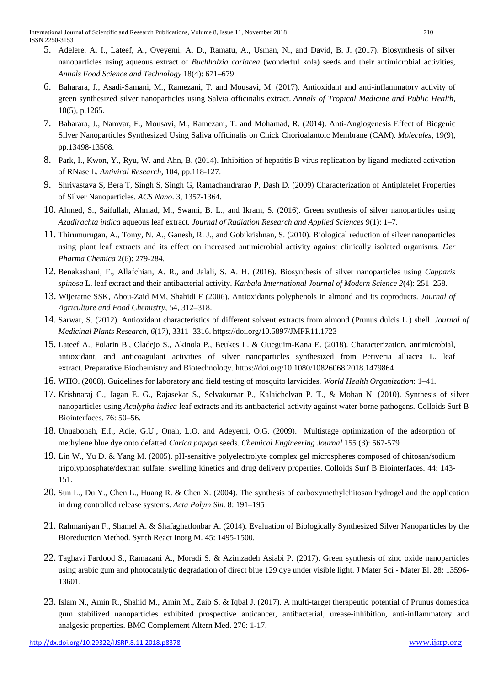- 5. Adelere, A. I., Lateef, A., Oyeyemi, A. D., Ramatu, A., Usman, N., and David, B. J. (2017). Biosynthesis of silver nanoparticles using aqueous extract of *Buchholzia coriacea* (wonderful kola) seeds and their antimicrobial activities, *Annals Food Science and Technology* 18(4): 671–679.
- 6. Baharara, J., Asadi-Samani, M., Ramezani, T. and Mousavi, M. (2017). Antioxidant and anti-inflammatory activity of green synthesized silver nanoparticles using Salvia officinalis extract. *Annals of Tropical Medicine and Public Health*, 10(5), p.1265.
- 7. Baharara, J., Namvar, F., Mousavi, M., Ramezani, T. and Mohamad, R. (2014). Anti-Angiogenesis Effect of Biogenic Silver Nanoparticles Synthesized Using Saliva officinalis on Chick Chorioalantoic Membrane (CAM). *Molecules*, 19(9), pp.13498-13508.
- 8. Park, I., Kwon, Y., Ryu, W. and Ahn, B. (2014). Inhibition of hepatitis B virus replication by ligand-mediated activation of RNase L. *Antiviral Research*, 104, pp.118-127.
- 9. Shrivastava S, Bera T, Singh S, Singh G, Ramachandrarao P, Dash D. (2009) Characterization of Antiplatelet Properties of Silver Nanoparticles. *ACS Nano*. 3, 1357-1364.
- 10. Ahmed, S., Saifullah, Ahmad, M., Swami, B. L., and Ikram, S. (2016). Green synthesis of silver nanoparticles using *Azadirachta indica* aqueous leaf extract. *Journal of Radiation Research and Applied Sciences* 9(1): 1–7.
- 11. Thirumurugan, A., Tomy, N. A., Ganesh, R. J., and Gobikrishnan, S. (2010). Biological reduction of silver nanoparticles using plant leaf extracts and its effect on increased antimicrobial activity against clinically isolated organisms. *Der Pharma Chemica* 2(6): 279-284.
- 12. Benakashani, F., Allafchian, A. R., and Jalali, S. A. H. (2016). Biosynthesis of silver nanoparticles using *Capparis spinosa* L. leaf extract and their antibacterial activity. *Karbala International Journal of Modern Science 2*(4): 251–258.
- 13. Wijeratne SSK, Abou-Zaid MM, Shahidi F (2006). Antioxidants polyphenols in almond and its coproducts. *Journal of Agriculture and Food Chemistry*, 54, 312–318.
- 14. Sarwar, S. (2012). Antioxidant characteristics of different solvent extracts from almond (Prunus dulcis L.) shell. *Journal of Medicinal Plants Research*, *6*(17), 3311–3316. https://doi.org/10.5897/JMPR11.1723
- 15. Lateef A., Folarin B., Oladejo S., Akinola P., Beukes L. & Gueguim-Kana E. (2018). Characterization, antimicrobial, antioxidant, and anticoagulant activities of silver nanoparticles synthesized from Petiveria alliacea L. leaf extract. Preparative Biochemistry and Biotechnology.<https://doi.org/10.1080/10826068.2018.1479864>
- 16. WHO. (2008). Guidelines for laboratory and field testing of mosquito larvicides. *World Health Organization*: 1–41.
- 17. Krishnaraj C., Jagan E. G., Rajasekar S., Selvakumar P., Kalaichelvan P. T., & Mohan N. (2010). Synthesis of silver nanoparticles using *Acalypha indica* leaf extracts and its antibacterial activity against water borne pathogens. Colloids Surf B Biointerfaces*.* 76: 50–56.
- 18. Unuabonah, E.I., Adie, G.U., Onah, L.O. and Adeyemi, O.G. (2009). [Multistage optimization of the adsorption of](https://scholar.google.com/citations?view_op=view_citation&hl=en&user=TP6iGkwAAAAJ&citation_for_view=TP6iGkwAAAAJ:UeHWp8X0CEIC)  [methylene blue dye onto defatted](https://scholar.google.com/citations?view_op=view_citation&hl=en&user=TP6iGkwAAAAJ&citation_for_view=TP6iGkwAAAAJ:UeHWp8X0CEIC) *Carica papaya* seeds. *Chemical Engineering Journal* 155 (3): 567-579
- 19. Lin W., Yu D. & Yang M. (2005). pH-sensitive polyelectrolyte complex gel microspheres composed of chitosan/sodium tripolyphosphate/dextran sulfate: swelling kinetics and drug delivery properties. Colloids Surf B Biointerfaces. 44: 143- 151.
- 20. Sun L., Du Y., Chen L., Huang R. & Chen X. (2004). The synthesis of carboxymethylchitosan hydrogel and the application in drug controlled release systems. *Acta Polym Sin.* 8: 191–195
- 21. Rahmaniyan F., Shamel A. & Shafaghatlonbar A. (2014). Evaluation of Biologically Synthesized Silver Nanoparticles by the Bioreduction Method. Synth React Inorg M. 45: 1495-1500.
- 22. Taghavi Fardood S., Ramazani A., Moradi S. & Azimzadeh Asiabi P. (2017). Green synthesis of zinc oxide nanoparticles using arabic gum and photocatalytic degradation of direct blue 129 dye under visible light. J Mater Sci - Mater El. 28: 13596- 13601.
- 23. Islam N., Amin R., Shahid M., Amin M., Zaib S. & Iqbal J. (2017). A multi-target therapeutic potential of Prunus domestica gum stabilized nanoparticles exhibited prospective anticancer, antibacterial, urease-inhibition, anti-inflammatory and analgesic properties. BMC Complement Altern Med. 276: 1-17.